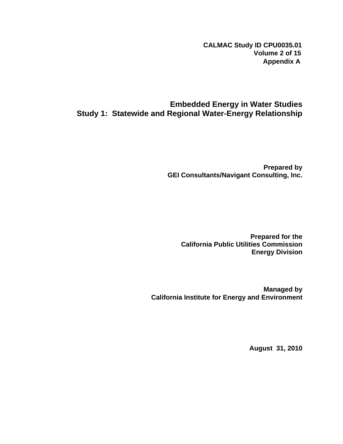**CALMAC Study ID CPU0035.01 Volume 2 of 15 Appendix A**

# **Embedded Energy in Water Studies Study 1: Statewide and Regional Water-Energy Relationship**

**Prepared by GEI Consultants/Navigant Consulting, Inc.** 

**Prepared for the California Public Utilities Commission Energy Division** 

**Managed by California Institute for Energy and Environment** 

**August 31, 2010**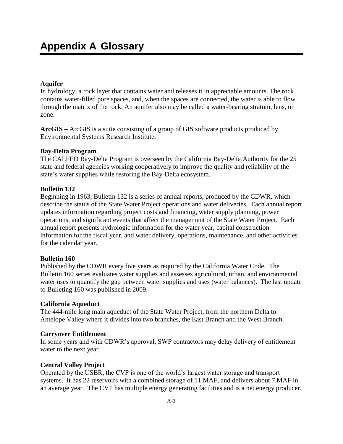# **Aquifer**

In hydrology, a rock layer that contains water and releases it in appreciable amounts. The rock contains water-filled pore spaces, and, when the spaces are connected, the water is able to flow through the matrix of the rock. An aquifer also may be called a water-bearing stratum, lens, or zone.

**ArcGIS –** ArcGIS is a suite consisting of a group of GIS software products produced by Environmental Systems Research Institute.

# **Bay-Delta Program**

The CALFED Bay-Delta Program is overseen by the California Bay-Delta Authority for the 25 state and federal agencies working cooperatively to improve the quality and reliability of the state's water supplies while restoring the Bay-Delta ecosystem.

# **Bulletin 132**

Beginning in 1963, Bulletin 132 is a series of annual reports, produced by the CDWR, which describe the status of the State Water Project operations and water deliveries. Each annual report updates information regarding project costs and financing, water supply planning, power operations, and significant events that affect the management of the State Water Project. Each annual report presents hydrologic information for the water year, capital construction information for the fiscal year, and water delivery, operations, maintenance, and other activities for the calendar year.

# **Bulletin 160**

Published by the CDWR every five years as required by the California Water Code. The Bulletin 160 series evaluates water supplies and assesses agricultural, urban, and environmental water uses to quantify the gap between water supplies and uses (water balances). The last update to Bulleting 160 was published in 2009.

# **California Aqueduct**

The 444-mile long main aqueduct of the State Water Project, from the northern Delta to Antelope Valley where it divides into two branches, the East Branch and the West Branch.

# **Carryover Entitlement**

In some years and with CDWR's approval, SWP contractors may delay delivery of entitlement water to the next year.

# **Central Valley Project**

Operated by the USBR, the CVP is one of the world's largest water storage and transport systems. It has 22 reservoirs with a combined storage of 11 MAF, and delivers about 7 MAF in an average year. The CVP has multiple energy generating facilities and is a net energy producer.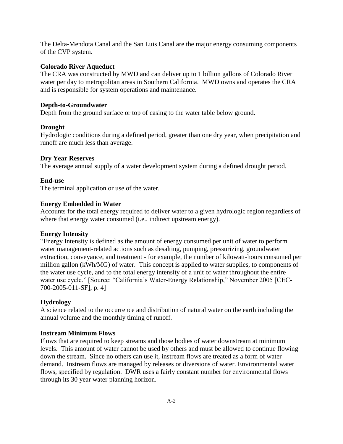The Delta-Mendota Canal and the San Luis Canal are the major energy consuming components of the CVP system.

## **Colorado River Aqueduct**

The CRA was constructed by MWD and can deliver up to 1 billion gallons of Colorado River water per day to metropolitan areas in Southern California. MWD owns and operates the CRA and is responsible for system operations and maintenance.

## **Depth-to-Groundwater**

Depth from the ground surface or top of casing to the water table below ground.

## **Drought**

Hydrologic conditions during a defined period, greater than one dry year, when precipitation and runoff are much less than average.

## **Dry Year Reserves**

The average annual supply of a water development system during a defined drought period.

## **End-use**

The terminal application or use of the water.

## **Energy Embedded in Water**

Accounts for the total energy required to deliver water to a given hydrologic region regardless of where that energy water consumed (i.e., indirect upstream energy).

#### **Energy Intensity**

"Energy Intensity is defined as the amount of energy consumed per unit of water to perform water management-related actions such as desalting, pumping, pressurizing, groundwater extraction, conveyance, and treatment - for example, the number of kilowatt-hours consumed per million gallon (kWh/MG) of water. This concept is applied to water supplies, to components of the water use cycle, and to the total energy intensity of a unit of water throughout the entire water use cycle." [Source: "California's Water-Energy Relationship," November 2005 [CEC-700-2005-011-SF], p. 4]

# **Hydrology**

A science related to the occurrence and distribution of natural water on the earth including the annual volume and the monthly timing of runoff.

# **Instream Minimum Flows**

Flows that are required to keep streams and those bodies of water downstream at minimum levels. This amount of water cannot be used by others and must be allowed to continue flowing down the stream. Since no others can use it, instream flows are treated as a form of water demand. Instream flows are managed by releases or diversions of water. Environmental water flows, specified by regulation. DWR uses a fairly constant number for environmental flows through its 30 year water planning horizon.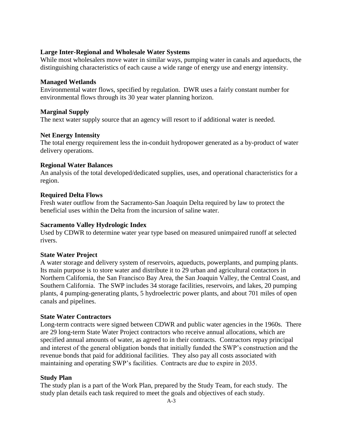## **Large Inter-Regional and Wholesale Water Systems**

While most wholesalers move water in similar ways, pumping water in canals and aqueducts, the distinguishing characteristics of each cause a wide range of energy use and energy intensity.

## **Managed Wetlands**

Environmental water flows, specified by regulation. DWR uses a fairly constant number for environmental flows through its 30 year water planning horizon.

## **Marginal Supply**

The next water supply source that an agency will resort to if additional water is needed.

# **Net Energy Intensity**

The total energy requirement less the in-conduit hydropower generated as a by-product of water delivery operations.

## **Regional Water Balances**

An analysis of the total developed/dedicated supplies, uses, and operational characteristics for a region.

## **Required Delta Flows**

Fresh water outflow from the Sacramento-San Joaquin Delta required by law to protect the beneficial uses within the Delta from the incursion of saline water.

## **Sacramento Valley Hydrologic Index**

Used by CDWR to determine water year type based on measured unimpaired runoff at selected rivers.

# **State Water Project**

A water storage and delivery system of reservoirs, aqueducts, powerplants, and pumping plants. Its main purpose is to store water and distribute it to 29 urban and agricultural contactors in Northern California, the San Francisco Bay Area, the San Joaquin Valley, the Central Coast, and Southern California. The SWP includes 34 storage facilities, reservoirs, and lakes, 20 pumping plants, 4 pumping-generating plants, 5 hydroelectric power plants, and about 701 miles of open canals and pipelines.

#### **State Water Contractors**

Long-term contracts were signed between CDWR and public water agencies in the 1960s. There are 29 long-term State Water Project contractors who receive annual allocations, which are specified annual amounts of water, as agreed to in their contracts. Contractors repay principal and interest of the general obligation bonds that initially funded the SWP's construction and the revenue bonds that paid for additional facilities. They also pay all costs associated with maintaining and operating SWP's facilities. Contracts are due to expire in 2035.

# **Study Plan**

The study plan is a part of the Work Plan, prepared by the Study Team, for each study. The study plan details each task required to meet the goals and objectives of each study.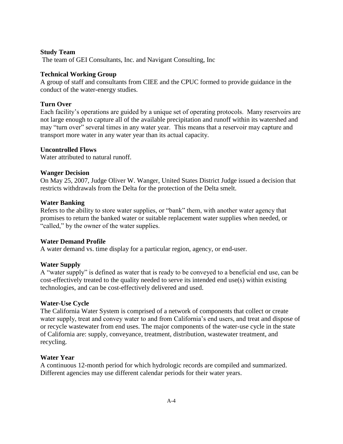## **Study Team**

The team of GEI Consultants, Inc. and Navigant Consulting, Inc

## **Technical Working Group**

A group of staff and consultants from CIEE and the CPUC formed to provide guidance in the conduct of the water-energy studies.

## **Turn Over**

Each facility's operations are guided by a unique set of operating protocols. Many reservoirs are not large enough to capture all of the available precipitation and runoff within its watershed and may "turn over" several times in any water year. This means that a reservoir may capture and transport more water in any water year than its actual capacity.

## **Uncontrolled Flows**

Water attributed to natural runoff.

## **Wanger Decision**

On May 25, 2007, Judge Oliver W. Wanger, United States District Judge issued a decision that restricts withdrawals from the Delta for the protection of the Delta smelt.

## **Water Banking**

Refers to the ability to store water supplies, or "bank" them, with another water agency that promises to return the banked water or suitable replacement water supplies when needed, or "called," by the owner of the water supplies.

#### **Water Demand Profile**

A water demand vs. time display for a particular region, agency, or end-user.

# **Water Supply**

A "water supply" is defined as water that is ready to be conveyed to a beneficial end use, can be cost-effectively treated to the quality needed to serve its intended end use(s) within existing technologies, and can be cost-effectively delivered and used.

#### **Water-Use Cycle**

The California Water System is comprised of a network of components that collect or create water supply, treat and convey water to and from California's end users, and treat and dispose of or recycle wastewater from end uses. The major components of the water-use cycle in the state of California are: supply, conveyance, treatment, distribution, wastewater treatment, and recycling.

## **Water Year**

A continuous 12-month period for which hydrologic records are compiled and summarized. Different agencies may use different calendar periods for their water years.